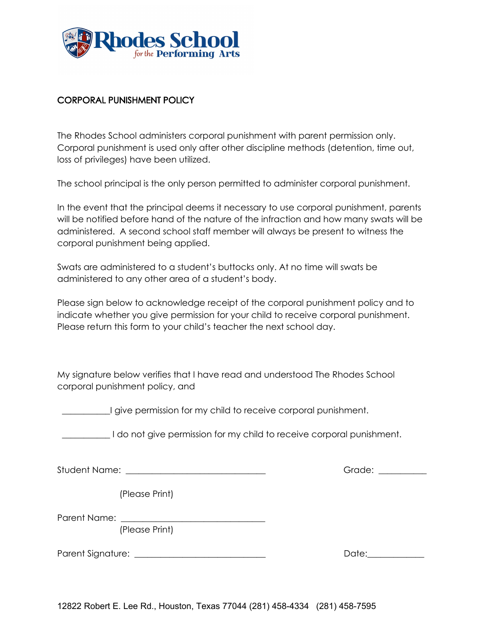

## CORPORAL PUNISHMENT POLICY

The Rhodes School administers corporal punishment with parent permission only. Corporal punishment is used only after other discipline methods (detention, time out, loss of privileges) have been utilized.

The school principal is the only person permitted to administer corporal punishment.

In the event that the principal deems it necessary to use corporal punishment, parents will be notified before hand of the nature of the infraction and how many swats will be administered. A second school staff member will always be present to witness the corporal punishment being applied.

Swats are administered to a student's buttocks only. At no time will swats be administered to any other area of a student's body.

Please sign below to acknowledge receipt of the corporal punishment policy and to indicate whether you give permission for your child to receive corporal punishment. Please return this form to your child's teacher the next school day.

My signature below verifies that I have read and understood The Rhodes School corporal punishment policy, and

\_\_\_\_\_\_\_\_\_\_\_I give permission for my child to receive corporal punishment.

I do not give permission for my child to receive corporal punishment.

Student Name: \_\_\_\_\_\_\_\_\_\_\_\_\_\_\_\_\_\_\_\_\_\_\_\_\_\_\_\_\_\_\_\_ Grade: \_\_\_\_\_\_\_\_\_\_\_

(Please Print)

Parent Name:

(Please Print)

Parent Signature: \_\_\_\_\_\_\_\_\_\_\_\_\_\_\_\_\_\_\_\_\_\_\_\_\_\_\_\_\_\_ Date:\_\_\_\_\_\_\_\_\_\_\_\_\_